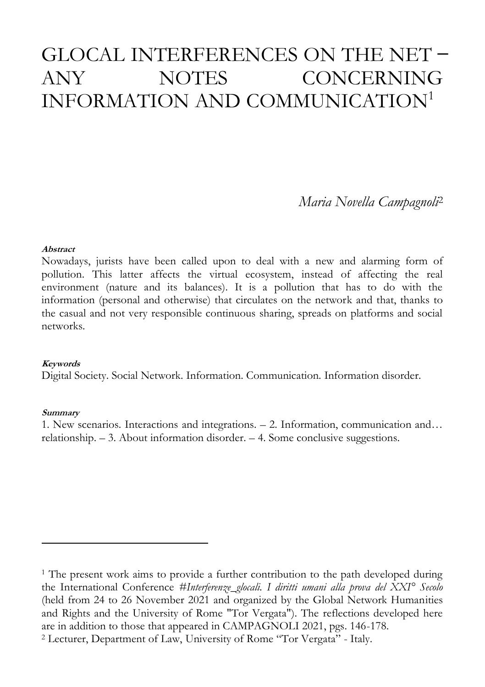# GLOCAL INTERFERENCES ON THE NET ANY NOTES CONCERNING INFORMATION AND COMMUNICATION<sup>1</sup>

*Maria Novella Campagnoli*<sup>2</sup>

#### **Abstract**

Nowadays, jurists have been called upon to deal with a new and alarming form of pollution. This latter affects the virtual ecosystem, instead of affecting the real environment (nature and its balances). It is a pollution that has to do with the information (personal and otherwise) that circulates on the network and that, thanks to the casual and not very responsible continuous sharing, spreads on platforms and social networks.

#### **Keywords**

Digital Society. Social Network. Information. Communication. Information disorder.

#### **Summary**

 $\overline{a}$ 

1. New scenarios. Interactions and integrations. – 2. Information, communication and… relationship. – 3. About information disorder. – 4. Some conclusive suggestions.

<sup>1</sup> The present work aims to provide a further contribution to the path developed during the International Conference *#Interferenze\_glocali. I diritti umani alla prova del XXI° Secolo* (held from 24 to 26 November 2021 and organized by the Global Network Humanities and Rights and the University of Rome "Tor Vergata"). The reflections developed here are in addition to those that appeared in CAMPAGNOLI 2021, pgs. 146-178.

<sup>2</sup> Lecturer, Department of Law, University of Rome "Tor Vergata" - Italy.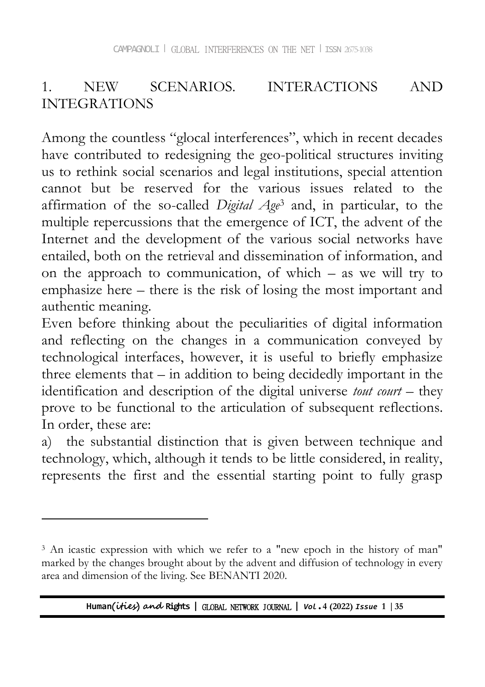### 1. NEW SCENARIOS. INTERACTIONS AND INTEGRATIONS

Among the countless "glocal interferences", which in recent decades have contributed to redesigning the geo-political structures inviting us to rethink social scenarios and legal institutions, special attention cannot but be reserved for the various issues related to the affirmation of the so-called *Digital Age*<sup>3</sup> and, in particular, to the multiple repercussions that the emergence of ICT, the advent of the Internet and the development of the various social networks have entailed, both on the retrieval and dissemination of information, and on the approach to communication, of which – as we will try to emphasize here – there is the risk of losing the most important and authentic meaning.

Even before thinking about the peculiarities of digital information and reflecting on the changes in a communication conveyed by technological interfaces, however, it is useful to briefly emphasize three elements that – in addition to being decidedly important in the identification and description of the digital universe *tout court* – they prove to be functional to the articulation of subsequent reflections. In order, these are:

a) the substantial distinction that is given between technique and technology, which, although it tends to be little considered, in reality, represents the first and the essential starting point to fully grasp

 $\overline{a}$ 

<sup>&</sup>lt;sup>3</sup> An icastic expression with which we refer to a "new epoch in the history of man" marked by the changes brought about by the advent and diffusion of technology in every area and dimension of the living. See BENANTI 2020.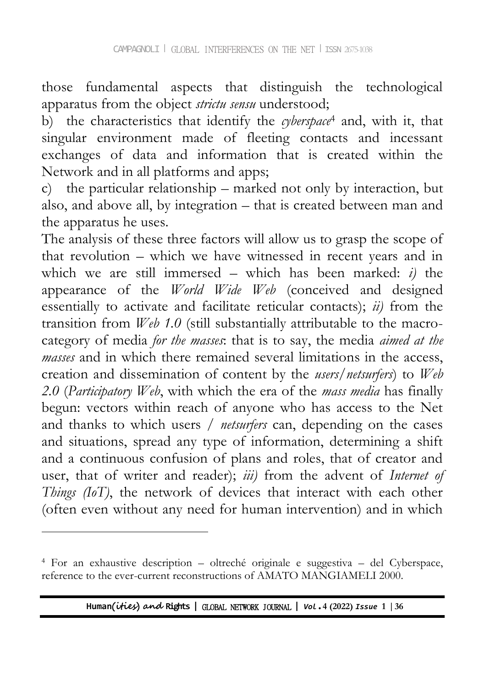those fundamental aspects that distinguish the technological apparatus from the object *strictu sensu* understood;

b) the characteristics that identify the *cyberspace*<sup>4</sup> and, with it, that singular environment made of fleeting contacts and incessant exchanges of data and information that is created within the Network and in all platforms and apps;

c) the particular relationship – marked not only by interaction, but also, and above all, by integration – that is created between man and the apparatus he uses.

The analysis of these three factors will allow us to grasp the scope of that revolution – which we have witnessed in recent years and in which we are still immersed – which has been marked: *i)* the appearance of the *World Wide Web* (conceived and designed essentially to activate and facilitate reticular contacts); *ii)* from the transition from *Web 1.0* (still substantially attributable to the macrocategory of media *for the masses*: that is to say, the media *aimed at the masses* and in which there remained several limitations in the access, creation and dissemination of content by the *users/netsurfers*) to *Web 2.0* (*Participatory Web*, with which the era of the *mass media* has finally begun: vectors within reach of anyone who has access to the Net and thanks to which users / *netsurfers* can, depending on the cases and situations, spread any type of information, determining a shift and a continuous confusion of plans and roles, that of creator and user, that of writer and reader); *iii*) from the advent of *Internet of Things (IoT)*, the network of devices that interact with each other (often even without any need for human intervention) and in which

 $\overline{a}$ 

<sup>4</sup> For an exhaustive description – oltreché originale e suggestiva – del Cyberspace, reference to the ever-current reconstructions of AMATO MANGIAMELI 2000.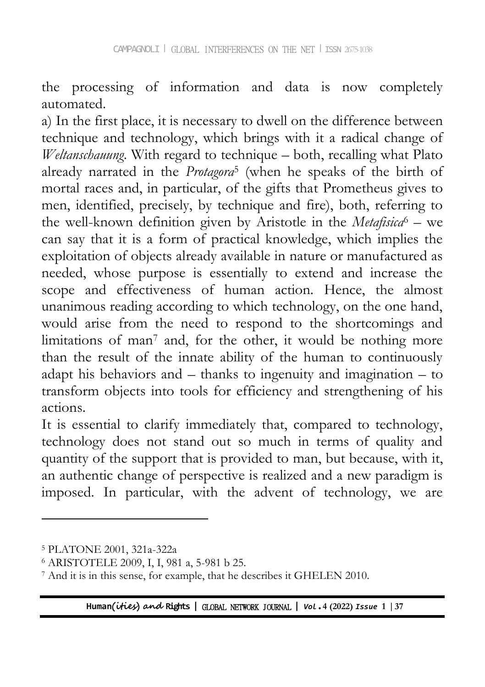the processing of information and data is now completely automated.

a) In the first place, it is necessary to dwell on the difference between technique and technology, which brings with it a radical change of *Weltanschauung*. With regard to technique – both, recalling what Plato already narrated in the *Protagora*<sup>5</sup> (when he speaks of the birth of mortal races and, in particular, of the gifts that Prometheus gives to men, identified, precisely, by technique and fire), both, referring to the well-known definition given by Aristotle in the *Metafisica*<sup>6</sup> – we can say that it is a form of practical knowledge, which implies the exploitation of objects already available in nature or manufactured as needed, whose purpose is essentially to extend and increase the scope and effectiveness of human action. Hence, the almost unanimous reading according to which technology, on the one hand, would arise from the need to respond to the shortcomings and limitations of man<sup>7</sup> and, for the other, it would be nothing more than the result of the innate ability of the human to continuously adapt his behaviors and – thanks to ingenuity and imagination – to transform objects into tools for efficiency and strengthening of his actions.

It is essential to clarify immediately that, compared to technology, technology does not stand out so much in terms of quality and quantity of the support that is provided to man, but because, with it, an authentic change of perspective is realized and a new paradigm is imposed. In particular, with the advent of technology, we are

 $\overline{a}$ 

<sup>5</sup> PLATONE 2001, 321a-322a

<sup>6</sup> ARISTOTELE 2009, I, I, 981 a, 5-981 b 25.

<sup>7</sup> And it is in this sense, for example, that he describes it GHELEN 2010.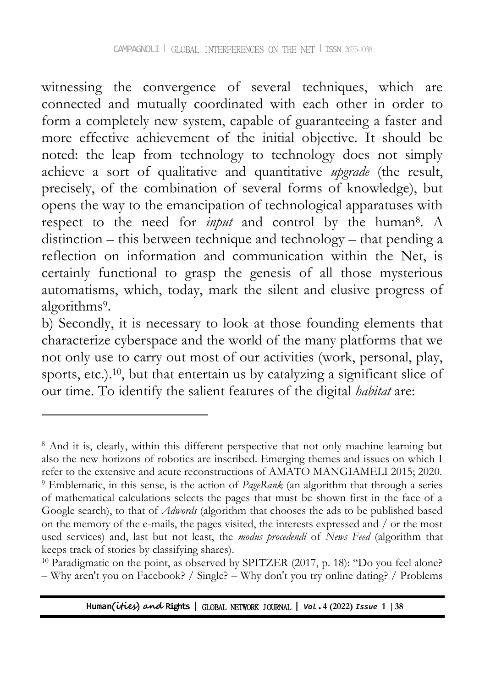witnessing the convergence of several techniques, which are connected and mutually coordinated with each other in order to form a completely new system, capable of guaranteeing a faster and more effective achievement of the initial objective. It should be noted: the leap from technology to technology does not simply achieve a sort of qualitative and quantitative *upgrade* (the result, precisely, of the combination of several forms of knowledge), but opens the way to the emancipation of technological apparatuses with respect to the need for *input* and control by the human<sup>8</sup> . A distinction – this between technique and technology – that pending a reflection on information and communication within the Net, is certainly functional to grasp the genesis of all those mysterious automatisms, which, today, mark the silent and elusive progress of algorithms<sup>9</sup> .

b) Secondly, it is necessary to look at those founding elements that characterize cyberspace and the world of the many platforms that we not only use to carry out most of our activities (work, personal, play, sports, etc.).<sup>10</sup>, but that entertain us by catalyzing a significant slice of our time. To identify the salient features of the digital *habitat* are:

<sup>8</sup> And it is, clearly, within this different perspective that not only machine learning but also the new horizons of robotics are inscribed. Emerging themes and issues on which I refer to the extensive and acute reconstructions of AMATO MANGIAMELI 2015; 2020. <sup>9</sup> Emblematic, in this sense, is the action of *PageRank* (an algorithm that through a series of mathematical calculations selects the pages that must be shown first in the face of a Google search), to that of *Adwords* (algorithm that chooses the ads to be published based on the memory of the e-mails, the pages visited, the interests expressed and / or the most used services) and, last but not least, the *modus procedendi* of *News Feed* (algorithm that keeps track of stories by classifying shares).

<sup>&</sup>lt;sup>10</sup> Paradigmatic on the point, as observed by SPITZER (2017, p. 18): "Do you feel alone? – Why aren't you on Facebook? / Single? – Why don't you try online dating? / Problems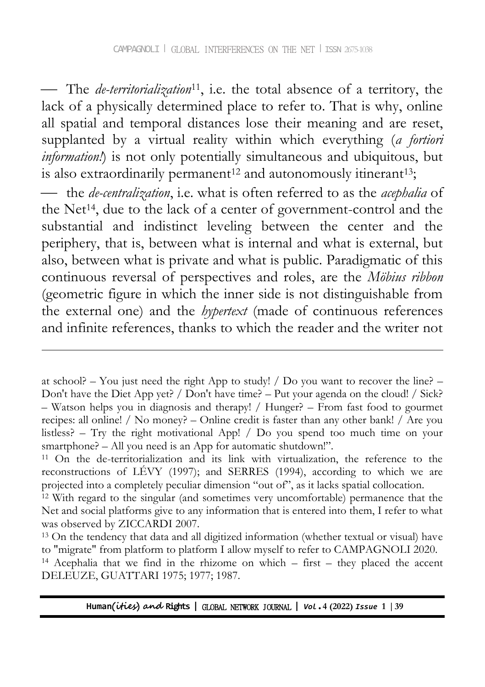The *de-territorialization*11, i.e. the total absence of a territory, the lack of a physically determined place to refer to. That is why, online all spatial and temporal distances lose their meaning and are reset, supplanted by a virtual reality within which everything (*a fortiori information!*) is not only potentially simultaneous and ubiquitous, but is also extraordinarily permanent<sup>12</sup> and autonomously itinerant<sup>13</sup>;

 the *de-centralization*, i.e. what is often referred to as the *acephalia* of the Net<sup>14</sup>, due to the lack of a center of government-control and the substantial and indistinct leveling between the center and the periphery, that is, between what is internal and what is external, but also, between what is private and what is public. Paradigmatic of this continuous reversal of perspectives and roles, are the *Möbius ribbon* (geometric figure in which the inner side is not distinguishable from the external one) and the *hypertext* (made of continuous references and infinite references, thanks to which the reader and the writer not

-

at school? – You just need the right App to study!  $\ell$  Do you want to recover the line? – Don't have the Diet App yet? / Don't have time? – Put your agenda on the cloud! / Sick? – Watson helps you in diagnosis and therapy! / Hunger? – From fast food to gourmet recipes: all online! / No money? – Online credit is faster than any other bank! / Are you listless? – Try the right motivational App! / Do you spend too much time on your smartphone? – All you need is an App for automatic shutdown!".

<sup>11</sup> On the de-territorialization and its link with virtualization, the reference to the reconstructions of LÉVY (1997); and SERRES (1994), according to which we are projected into a completely peculiar dimension "out of", as it lacks spatial collocation.

<sup>12</sup> With regard to the singular (and sometimes very uncomfortable) permanence that the Net and social platforms give to any information that is entered into them, I refer to what was observed by ZICCARDI 2007.

<sup>13</sup> On the tendency that data and all digitized information (whether textual or visual) have to "migrate" from platform to platform I allow myself to refer to CAMPAGNOLI 2020.

<sup>14</sup> Acephalia that we find in the rhizome on which – first – they placed the accent DELEUZE, GUATTARI 1975; 1977; 1987.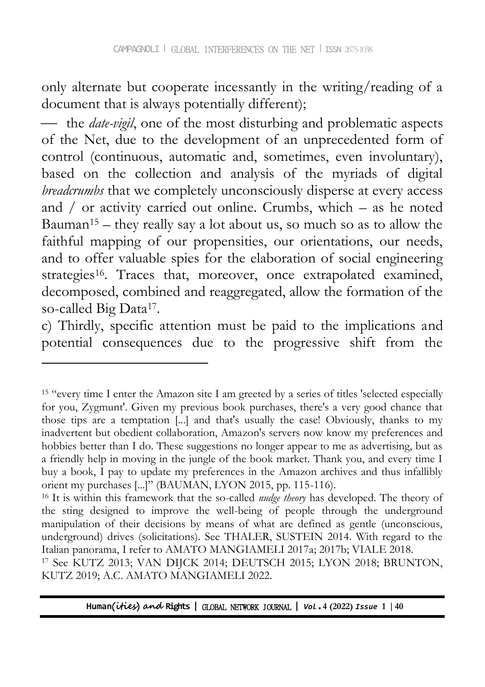only alternate but cooperate incessantly in the writing/reading of a document that is always potentially different);

 the *date-vigil*, one of the most disturbing and problematic aspects of the Net, due to the development of an unprecedented form of control (continuous, automatic and, sometimes, even involuntary), based on the collection and analysis of the myriads of digital *breadcrumbs* that we completely unconsciously disperse at every access and / or activity carried out online. Crumbs, which – as he noted Bauman<sup>15</sup> – they really say a lot about us, so much so as to allow the faithful mapping of our propensities, our orientations, our needs, and to offer valuable spies for the elaboration of social engineering strategies<sup>16</sup>. Traces that, moreover, once extrapolated examined, decomposed, combined and reaggregated, allow the formation of the so-called Big Data<sup>17</sup>.

c) Thirdly, specific attention must be paid to the implications and potential consequences due to the progressive shift from the

<sup>15</sup> "every time I enter the Amazon site I am greeted by a series of titles 'selected especially for you, Zygmunt'. Given my previous book purchases, there's a very good chance that those tips are a temptation [...] and that's usually the case! Obviously, thanks to my inadvertent but obedient collaboration, Amazon's servers now know my preferences and hobbies better than I do. These suggestions no longer appear to me as advertising, but as a friendly help in moving in the jungle of the book market. Thank you, and every time I buy a book, I pay to update my preferences in the Amazon archives and thus infallibly orient my purchases [...]" (BAUMAN, LYON 2015, pp. 115-116).

<sup>16</sup> It is within this framework that the so-called *nudge theory* has developed. The theory of the sting designed to improve the well-being of people through the underground manipulation of their decisions by means of what are defined as gentle (unconscious, underground) drives (solicitations). See THALER, SUSTEIN 2014. With regard to the Italian panorama, I refer to AMATO MANGIAMELI 2017a; 2017b; VIALE 2018. <sup>17</sup> See KUTZ 2013; VAN DIJCK 2014; DEUTSCH 2015; LYON 2018; BRUNTON, KUTZ 2019; A.C. AMATO MANGIAMELI 2022.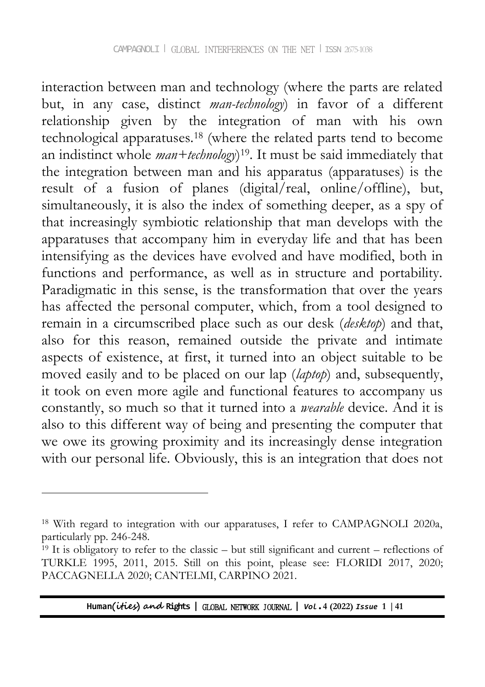interaction between man and technology (where the parts are related but, in any case, distinct *man-technology*) in favor of a different relationship given by the integration of man with his own technological apparatuses.<sup>18</sup> (where the related parts tend to become an indistinct whole *man+technology*) <sup>19</sup>. It must be said immediately that the integration between man and his apparatus (apparatuses) is the result of a fusion of planes (digital/real, online/offline), but, simultaneously, it is also the index of something deeper, as a spy of that increasingly symbiotic relationship that man develops with the apparatuses that accompany him in everyday life and that has been intensifying as the devices have evolved and have modified, both in functions and performance, as well as in structure and portability. Paradigmatic in this sense, is the transformation that over the years has affected the personal computer, which, from a tool designed to remain in a circumscribed place such as our desk (*desktop*) and that, also for this reason, remained outside the private and intimate aspects of existence, at first, it turned into an object suitable to be moved easily and to be placed on our lap (*laptop*) and, subsequently, it took on even more agile and functional features to accompany us constantly, so much so that it turned into a *wearable* device. And it is also to this different way of being and presenting the computer that we owe its growing proximity and its increasingly dense integration with our personal life. Obviously, this is an integration that does not

 $\overline{a}$ 

<sup>&</sup>lt;sup>18</sup> With regard to integration with our apparatuses, I refer to CAMPAGNOLI 2020a, particularly pp. 246-248.

 $19$  It is obligatory to refer to the classic – but still significant and current – reflections of TURKLE 1995, 2011, 2015. Still on this point, please see: FLORIDI 2017, 2020; PACCAGNELLA 2020; CANTELMI, CARPINO 2021.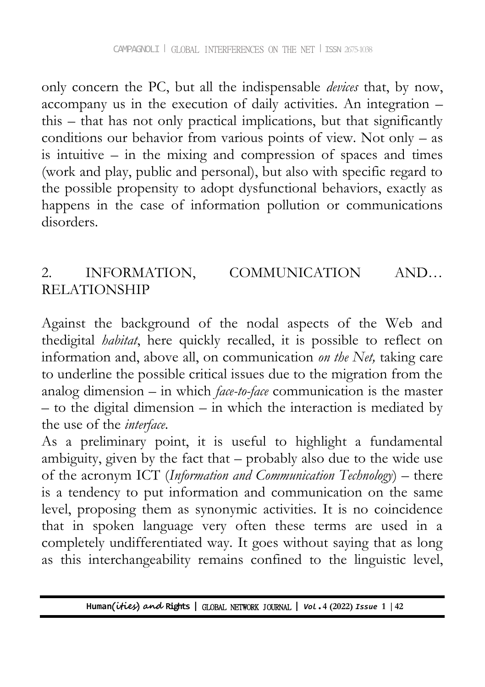only concern the PC, but all the indispensable *devices* that, by now, accompany us in the execution of daily activities. An integration – this – that has not only practical implications, but that significantly conditions our behavior from various points of view. Not only – as is intuitive – in the mixing and compression of spaces and times (work and play, public and personal), but also with specific regard to the possible propensity to adopt dysfunctional behaviors, exactly as happens in the case of information pollution or communications disorders.

## 2. INFORMATION, COMMUNICATION AND… RELATIONSHIP

Against the background of the nodal aspects of the Web and thedigital *habitat*, here quickly recalled, it is possible to reflect on information and, above all, on communication *on the Net,* taking care to underline the possible critical issues due to the migration from the analog dimension – in which *face-to-face* communication is the master – to the digital dimension – in which the interaction is mediated by the use of the *interface*.

As a preliminary point, it is useful to highlight a fundamental ambiguity, given by the fact that – probably also due to the wide use of the acronym ICT (*Information and Communication Technology*) – there is a tendency to put information and communication on the same level, proposing them as synonymic activities. It is no coincidence that in spoken language very often these terms are used in a completely undifferentiated way. It goes without saying that as long as this interchangeability remains confined to the linguistic level,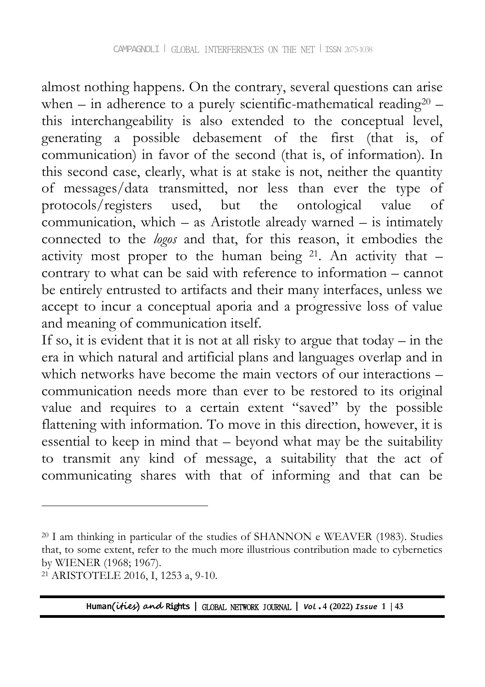almost nothing happens. On the contrary, several questions can arise when – in adherence to a purely scientific-mathematical reading<sup>20</sup> – this interchangeability is also extended to the conceptual level, generating a possible debasement of the first (that is, of communication) in favor of the second (that is, of information). In this second case, clearly, what is at stake is not, neither the quantity of messages/data transmitted, nor less than ever the type of protocols/registers used, but the ontological value of communication, which – as Aristotle already warned – is intimately connected to the *logos* and that, for this reason, it embodies the activity most proper to the human being  $21$ . An activity that  $$ contrary to what can be said with reference to information – cannot be entirely entrusted to artifacts and their many interfaces, unless we accept to incur a conceptual aporia and a progressive loss of value and meaning of communication itself.

If so, it is evident that it is not at all risky to argue that today – in the era in which natural and artificial plans and languages overlap and in which networks have become the main vectors of our interactions – communication needs more than ever to be restored to its original value and requires to a certain extent "saved" by the possible flattening with information. To move in this direction, however, it is essential to keep in mind that  $-$  beyond what may be the suitability to transmit any kind of message, a suitability that the act of communicating shares with that of informing and that can be

<sup>20</sup> I am thinking in particular of the studies of SHANNON e WEAVER (1983). Studies that, to some extent, refer to the much more illustrious contribution made to cybernetics by WIENER (1968; 1967).

<sup>21</sup> ARISTOTELE 2016, I, 1253 a, 9-10.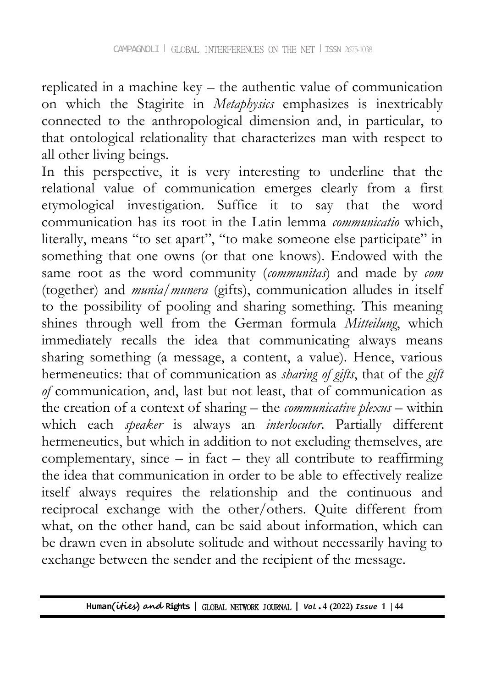replicated in a machine key – the authentic value of communication on which the Stagirite in *Metaphysics* emphasizes is inextricably connected to the anthropological dimension and, in particular, to that ontological relationality that characterizes man with respect to all other living beings.

In this perspective, it is very interesting to underline that the relational value of communication emerges clearly from a first etymological investigation. Suffice it to say that the word communication has its root in the Latin lemma *communicatio* which, literally, means "to set apart", "to make someone else participate" in something that one owns (or that one knows). Endowed with the same root as the word community (*communitas*) and made by *com* (together) and *munia*/*munera* (gifts), communication alludes in itself to the possibility of pooling and sharing something. This meaning shines through well from the German formula *Mitteilung*, which immediately recalls the idea that communicating always means sharing something (a message, a content, a value). Hence, various hermeneutics: that of communication as *sharing of gifts*, that of the *gift of* communication, and, last but not least, that of communication as the creation of a context of sharing – the *communicative plexus* – within which each *speaker* is always an *interlocutor*. Partially different hermeneutics, but which in addition to not excluding themselves, are complementary, since  $-$  in fact  $-$  they all contribute to reaffirming the idea that communication in order to be able to effectively realize itself always requires the relationship and the continuous and reciprocal exchange with the other/others. Quite different from what, on the other hand, can be said about information, which can be drawn even in absolute solitude and without necessarily having to exchange between the sender and the recipient of the message.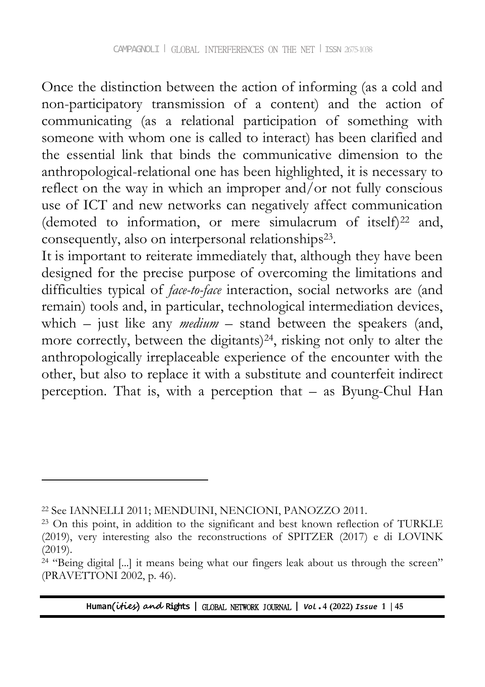Once the distinction between the action of informing (as a cold and non-participatory transmission of a content) and the action of communicating (as a relational participation of something with someone with whom one is called to interact) has been clarified and the essential link that binds the communicative dimension to the anthropological-relational one has been highlighted, it is necessary to reflect on the way in which an improper and/or not fully conscious use of ICT and new networks can negatively affect communication (demoted to information, or mere simulacrum of itself)<sup>22</sup> and, consequently, also on interpersonal relationships<sup>23</sup>.

It is important to reiterate immediately that, although they have been designed for the precise purpose of overcoming the limitations and difficulties typical of *face-to-face* interaction, social networks are (and remain) tools and, in particular, technological intermediation devices, which – just like any *medium* – stand between the speakers (and, more correctly, between the digitants)24, risking not only to alter the anthropologically irreplaceable experience of the encounter with the other, but also to replace it with a substitute and counterfeit indirect perception. That is, with a perception that – as Byung-Chul Han

-

<sup>22</sup> See IANNELLI 2011; MENDUINI, NENCIONI, PANOZZO 2011.

<sup>23</sup> On this point, in addition to the significant and best known reflection of TURKLE (2019), very interesting also the reconstructions of SPITZER (2017) e di LOVINK (2019).

<sup>&</sup>lt;sup>24</sup> "Being digital [...] it means being what our fingers leak about us through the screen" (PRAVETTONI 2002, p. 46).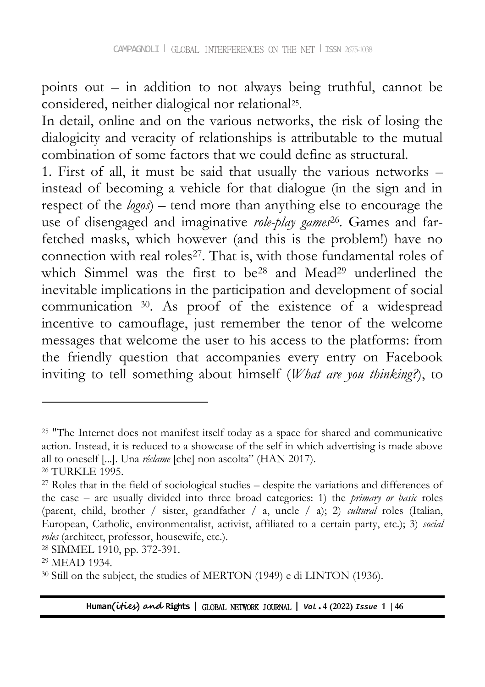points out – in addition to not always being truthful, cannot be considered, neither dialogical nor relational<sup>25</sup> .

In detail, online and on the various networks, the risk of losing the dialogicity and veracity of relationships is attributable to the mutual combination of some factors that we could define as structural.

1. First of all, it must be said that usually the various networks – instead of becoming a vehicle for that dialogue (in the sign and in respect of the *logos*) – tend more than anything else to encourage the use of disengaged and imaginative *role-play games*<sup>26</sup> *.* Games and farfetched masks, which however (and this is the problem!) have no connection with real roles<sup>27</sup>. That is, with those fundamental roles of which Simmel was the first to be<sup>28</sup> and Mead<sup>29</sup> underlined the inevitable implications in the participation and development of social communication <sup>30</sup>. As proof of the existence of a widespread incentive to camouflage, just remember the tenor of the welcome messages that welcome the user to his access to the platforms: from the friendly question that accompanies every entry on Facebook inviting to tell something about himself (*What are you thinking?*), to

<sup>&</sup>lt;sup>25</sup> "The Internet does not manifest itself today as a space for shared and communicative action. Instead, it is reduced to a showcase of the self in which advertising is made above all to oneself [...]. Una *réclame* [che] non ascolta" (HAN 2017).

<sup>26</sup> TURKLE 1995.

 $27$  Roles that in the field of sociological studies – despite the variations and differences of the case – are usually divided into three broad categories: 1) the *primary or basic* roles (parent, child, brother / sister, grandfather / a, uncle / a); 2) *cultural* roles (Italian, European, Catholic, environmentalist, activist, affiliated to a certain party, etc.); 3) *social roles* (architect, professor, housewife, etc.).

<sup>28</sup> SIMMEL 1910, pp. 372-391.

<sup>29</sup> MEAD 1934.

<sup>30</sup> Still on the subject, the studies of MERTON (1949) e di LINTON (1936).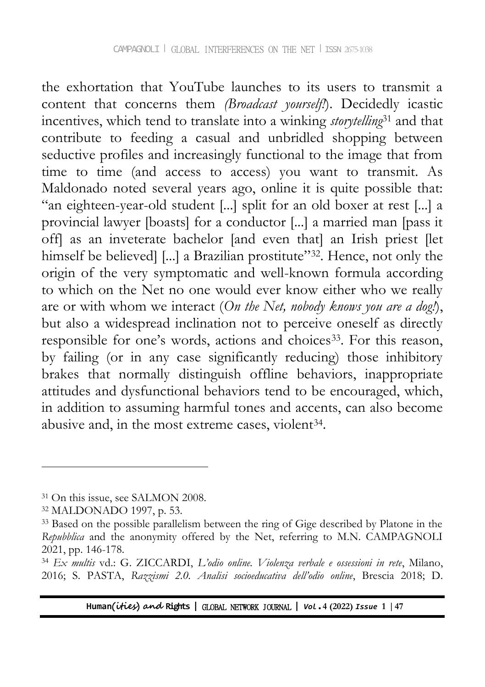the exhortation that YouTube launches to its users to transmit a content that concerns them *(Broadcast yourself!*). Decidedly icastic incentives, which tend to translate into a winking *storytelling*<sup>31</sup> and that contribute to feeding a casual and unbridled shopping between seductive profiles and increasingly functional to the image that from time to time (and access to access) you want to transmit. As Maldonado noted several years ago, online it is quite possible that: "an eighteen-year-old student [...] split for an old boxer at rest [...] a provincial lawyer [boasts] for a conductor [...] a married man [pass it off] as an inveterate bachelor [and even that] an Irish priest [let himself be believed] [...] a Brazilian prostitute"<sup>32</sup>. Hence, not only the origin of the very symptomatic and well-known formula according to which on the Net no one would ever know either who we really are or with whom we interact (*On the Net, nobody knows you are a dog!*), but also a widespread inclination not to perceive oneself as directly responsible for one's words, actions and choices<sup>33</sup>. For this reason, by failing (or in any case significantly reducing) those inhibitory brakes that normally distinguish offline behaviors, inappropriate attitudes and dysfunctional behaviors tend to be encouraged, which, in addition to assuming harmful tones and accents, can also become abusive and, in the most extreme cases, violent<sup>34</sup>.

-

<sup>&</sup>lt;sup>31</sup> On this issue, see SALMON 2008.

<sup>32</sup> MALDONADO 1997, p. 53.

<sup>&</sup>lt;sup>33</sup> Based on the possible parallelism between the ring of Gige described by Platone in the *Repubblica* and the anonymity offered by the Net, referring to M.N. CAMPAGNOLI 2021, pp. 146-178.

<sup>34</sup> *Ex multis* vd.: G. ZICCARDI, *L'odio online. Violenza verbale e ossessioni in rete*, Milano, 2016; S. PASTA, *Razzismi 2.0. Analisi socioeducativa dell'odio online*, Brescia 2018; D.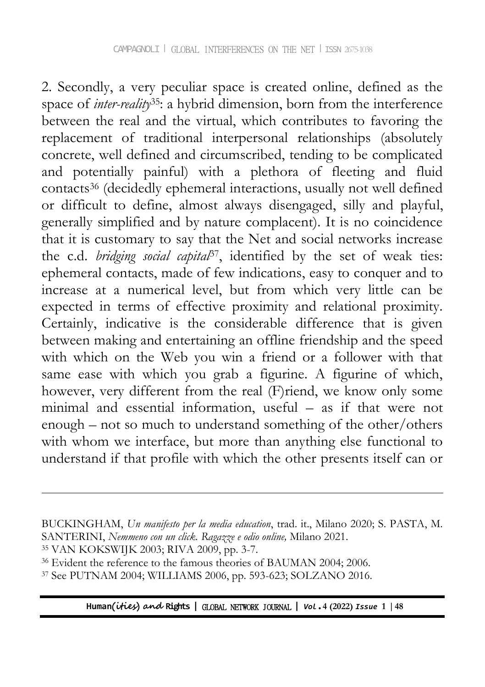2. Secondly, a very peculiar space is created online, defined as the space of *inter-reality*35: a hybrid dimension, born from the interference between the real and the virtual, which contributes to favoring the replacement of traditional interpersonal relationships (absolutely concrete, well defined and circumscribed, tending to be complicated and potentially painful) with a plethora of fleeting and fluid contacts<sup>36</sup> (decidedly ephemeral interactions, usually not well defined or difficult to define, almost always disengaged, silly and playful, generally simplified and by nature complacent). It is no coincidence that it is customary to say that the Net and social networks increase the c.d. *bridging social capital*37, identified by the set of weak ties: ephemeral contacts, made of few indications, easy to conquer and to increase at a numerical level, but from which very little can be expected in terms of effective proximity and relational proximity. Certainly, indicative is the considerable difference that is given between making and entertaining an offline friendship and the speed with which on the Web you win a friend or a follower with that same ease with which you grab a figurine. A figurine of which, however, very different from the real (F)riend, we know only some minimal and essential information, useful – as if that were not enough – not so much to understand something of the other/others with whom we interface, but more than anything else functional to understand if that profile with which the other presents itself can or

 $\overline{a}$ 

BUCKINGHAM, *Un manifesto per la media education*, trad. it., Milano 2020; S. PASTA, M. SANTERINI, *Nemmeno con un click. Ragazze e odio online,* Milano 2021.

<sup>35</sup> VAN KOKSWIJK 2003; RIVA 2009, pp. 3-7.

<sup>&</sup>lt;sup>36</sup> Evident the reference to the famous theories of BAUMAN 2004; 2006.

<sup>37</sup> See PUTNAM 2004; WILLIAMS 2006, pp. 593-623; SOLZANO 2016.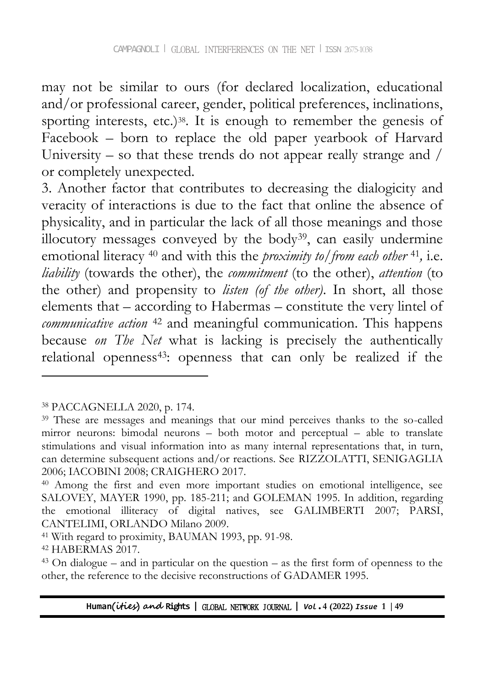may not be similar to ours (for declared localization, educational and/or professional career, gender, political preferences, inclinations, sporting interests, etc.)<sup>38</sup>. It is enough to remember the genesis of Facebook – born to replace the old paper yearbook of Harvard University – so that these trends do not appear really strange and  $/$ or completely unexpected.

3. Another factor that contributes to decreasing the dialogicity and veracity of interactions is due to the fact that online the absence of physicality, and in particular the lack of all those meanings and those illocutory messages conveyed by the body39, can easily undermine emotional literacy <sup>40</sup> and with this the *proximity to/from each other* <sup>41</sup> *,* i.e. *liability* (towards the other), the *commitment* (to the other), *attention* (to the other) and propensity to *listen (of the other)*. In short, all those elements that – according to Habermas – constitute the very lintel of *communicative action* <sup>42</sup> and meaningful communication. This happens because *on The Net* what is lacking is precisely the authentically relational openness<sup>43</sup>: openness that can only be realized if the

<sup>38</sup> PACCAGNELLA 2020, p. 174.

<sup>&</sup>lt;sup>39</sup> These are messages and meanings that our mind perceives thanks to the so-called mirror neurons: bimodal neurons – both motor and perceptual – able to translate stimulations and visual information into as many internal representations that, in turn, can determine subsequent actions and/or reactions. See RIZZOLATTI, SENIGAGLIA 2006; IACOBINI 2008; CRAIGHERO 2017.

<sup>40</sup> Among the first and even more important studies on emotional intelligence, see SALOVEY, MAYER 1990, pp. 185-211; and GOLEMAN 1995. In addition, regarding the emotional illiteracy of digital natives, see GALIMBERTI 2007; PARSI, CANTELIMI, ORLANDO Milano 2009.

<sup>41</sup> With regard to proximity, BAUMAN 1993, pp. 91-98.

<sup>42</sup> HABERMAS 2017.

 $43$  On dialogue – and in particular on the question – as the first form of openness to the other, the reference to the decisive reconstructions of GADAMER 1995.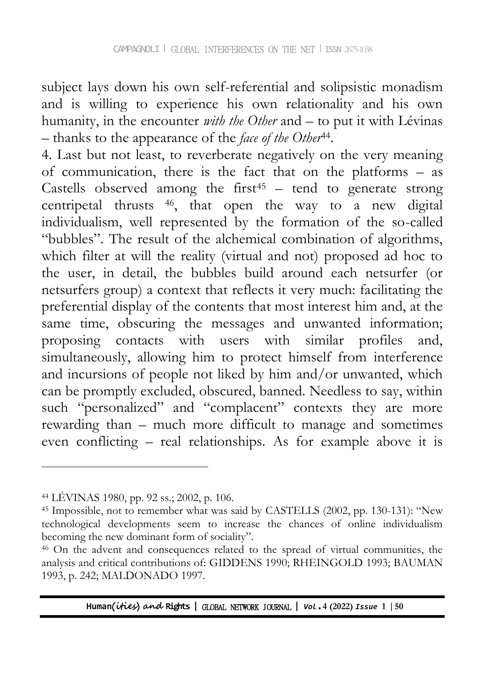subject lays down his own self-referential and solipsistic monadism and is willing to experience his own relationality and his own humanity, in the encounter *with the Other* and – to put it with Lévinas – thanks to the appearance of the *face of the Other*<sup>44</sup> .

4. Last but not least, to reverberate negatively on the very meaning of communication, there is the fact that on the platforms – as Castells observed among the first<sup>45</sup> – tend to generate strong centripetal thrusts <sup>46</sup>, that open the way to a new digital individualism, well represented by the formation of the so-called "bubbles". The result of the alchemical combination of algorithms, which filter at will the reality (virtual and not) proposed ad hoc to the user, in detail, the bubbles build around each netsurfer (or netsurfers group) a context that reflects it very much: facilitating the preferential display of the contents that most interest him and, at the same time, obscuring the messages and unwanted information; proposing contacts with users with similar profiles and, simultaneously, allowing him to protect himself from interference and incursions of people not liked by him and/or unwanted, which can be promptly excluded, obscured, banned. Needless to say, within such "personalized" and "complacent" contexts they are more rewarding than – much more difficult to manage and sometimes even conflicting – real relationships. As for example above it is

-

<sup>44</sup> LÉVINAS 1980, pp. 92 ss.; 2002, p. 106.

<sup>45</sup> Impossible, not to remember what was said by CASTELLS (2002, pp. 130-131): "New technological developments seem to increase the chances of online individualism becoming the new dominant form of sociality".

<sup>46</sup> On the advent and consequences related to the spread of virtual communities, the analysis and critical contributions of: GIDDENS 1990; RHEINGOLD 1993; BAUMAN 1993, p. 242; MALDONADO 1997.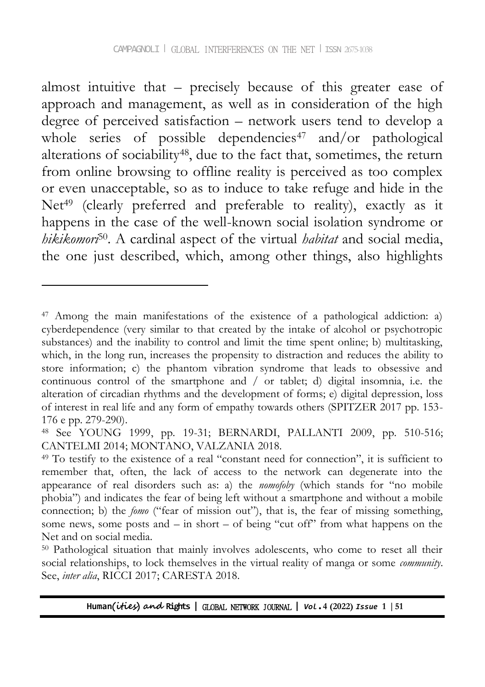almost intuitive that – precisely because of this greater ease of approach and management, as well as in consideration of the high degree of perceived satisfaction – network users tend to develop a whole series of possible dependencies<sup>47</sup> and/or pathological alterations of sociability48, due to the fact that, sometimes, the return from online browsing to offline reality is perceived as too complex or even unacceptable, so as to induce to take refuge and hide in the Net<sup>49</sup> (clearly preferred and preferable to reality), exactly as it happens in the case of the well-known social isolation syndrome or *hikikomori*50. A cardinal aspect of the virtual *habitat* and social media, the one just described, which, among other things, also highlights

<sup>47</sup> Among the main manifestations of the existence of a pathological addiction: a) cyberdependence (very similar to that created by the intake of alcohol or psychotropic substances) and the inability to control and limit the time spent online; b) multitasking, which, in the long run, increases the propensity to distraction and reduces the ability to store information; c) the phantom vibration syndrome that leads to obsessive and continuous control of the smartphone and / or tablet; d) digital insomnia, i.e. the alteration of circadian rhythms and the development of forms; e) digital depression, loss of interest in real life and any form of empathy towards others (SPITZER 2017 pp. 153- 176 e pp. 279-290).

<sup>48</sup> See YOUNG 1999, pp. 19-31; BERNARDI, PALLANTI 2009, pp. 510-516; CANTELMI 2014; MONTANO, VALZANIA 2018.

<sup>49</sup> To testify to the existence of a real "constant need for connection", it is sufficient to remember that, often, the lack of access to the network can degenerate into the appearance of real disorders such as: a) the *nomofoby* (which stands for "no mobile phobia") and indicates the fear of being left without a smartphone and without a mobile connection; b) the *fomo* ("fear of mission out"), that is, the fear of missing something, some news, some posts and – in short – of being "cut off" from what happens on the Net and on social media.

<sup>50</sup> Pathological situation that mainly involves adolescents, who come to reset all their social relationships, to lock themselves in the virtual reality of manga or some *community*. See, *inter alia*, RICCI 2017; CARESTA 2018.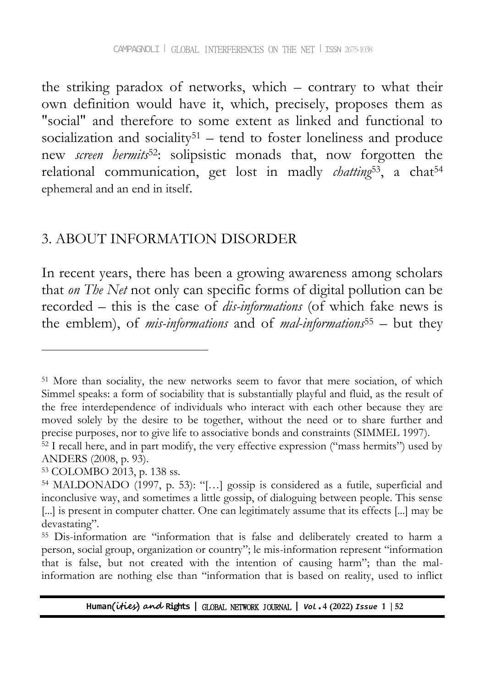the striking paradox of networks, which – contrary to what their own definition would have it, which, precisely, proposes them as "social" and therefore to some extent as linked and functional to socialization and sociality<sup>51</sup> – tend to foster loneliness and produce new *screen hermits*52: solipsistic monads that, now forgotten the relational communication, get lost in madly *chatting*<sup>53</sup>, a chat<sup>54</sup> ephemeral and an end in itself.

#### 3. ABOUT INFORMATION DISORDER

In recent years, there has been a growing awareness among scholars that *on The Net* not only can specific forms of digital pollution can be recorded – this is the case of *dis-informations* (of which fake news is the emblem), of *mis-informations* and of *mal-informations*<sup>55</sup> – but they

<sup>51</sup> More than sociality, the new networks seem to favor that mere sociation, of which Simmel speaks: a form of sociability that is substantially playful and fluid, as the result of the free interdependence of individuals who interact with each other because they are moved solely by the desire to be together, without the need or to share further and precise purposes, nor to give life to associative bonds and constraints (SIMMEL 1997).

<sup>52</sup> I recall here, and in part modify, the very effective expression ("mass hermits") used by ANDERS (2008, p. 93).

<sup>53</sup> COLOMBO 2013, p. 138 ss.

<sup>54</sup> MALDONADO (1997, p. 53): "[…] gossip is considered as a futile, superficial and inconclusive way, and sometimes a little gossip, of dialoguing between people. This sense [...] is present in computer chatter. One can legitimately assume that its effects [...] may be devastating".

<sup>55</sup> Dis-information are "information that is false and deliberately created to harm a person, social group, organization or country"; le mis-information represent "information that is false, but not created with the intention of causing harm"; than the malinformation are nothing else than "information that is based on reality, used to inflict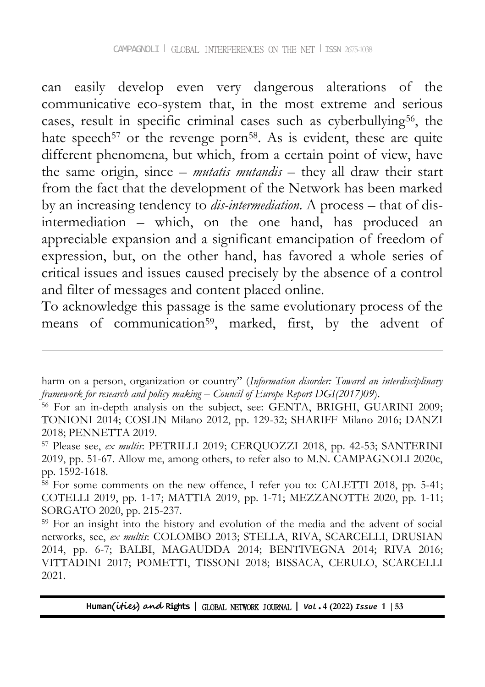can easily develop even very dangerous alterations of the communicative eco-system that, in the most extreme and serious cases, result in specific criminal cases such as cyberbullying56, the hate speech<sup>57</sup> or the revenge porn<sup>58</sup>. As is evident, these are quite different phenomena, but which, from a certain point of view, have the same origin, since – *mutatis mutandis* – they all draw their start from the fact that the development of the Network has been marked by an increasing tendency to *dis-intermediation*. A process – that of disintermediation – which, on the one hand, has produced an appreciable expansion and a significant emancipation of freedom of expression, but, on the other hand, has favored a whole series of critical issues and issues caused precisely by the absence of a control and filter of messages and content placed online.

To acknowledge this passage is the same evolutionary process of the means of communication<sup>59</sup>, marked, first, by the advent of

harm on a person, organization or country" (*Information disorder: Toward an interdisciplinary framework for research and policy making* – *Council of Europe Report DGI(2017)09*).

<sup>&</sup>lt;sup>56</sup> For an in-depth analysis on the subject, see: GENTA, BRIGHI, GUARINI 2009; TONIONI 2014; COSLIN Milano 2012, pp. 129-32; SHARIFF Milano 2016; DANZI 2018; PENNETTA 2019.

<sup>57</sup> Please see, *ex multis*: PETRILLI 2019; CERQUOZZI 2018, pp. 42-53; SANTERINI 2019, pp. 51-67. Allow me, among others, to refer also to M.N. CAMPAGNOLI 2020c, pp. 1592-1618.

 $58$  For some comments on the new offence, I refer you to: CALETTI 2018, pp. 5-41; COTELLI 2019, pp. 1-17; MATTIA 2019, pp. 1-71; MEZZANOTTE 2020, pp. 1-11; SORGATO 2020, pp. 215-237.

<sup>59</sup> For an insight into the history and evolution of the media and the advent of social networks, see, *ex multis*: COLOMBO 2013; STELLA, RIVA, SCARCELLI, DRUSIAN 2014, pp. 6-7; BALBI, MAGAUDDA 2014; BENTIVEGNA 2014; RIVA 2016; VITTADINI 2017; POMETTI, TISSONI 2018; BISSACA, CERULO, SCARCELLI 2021.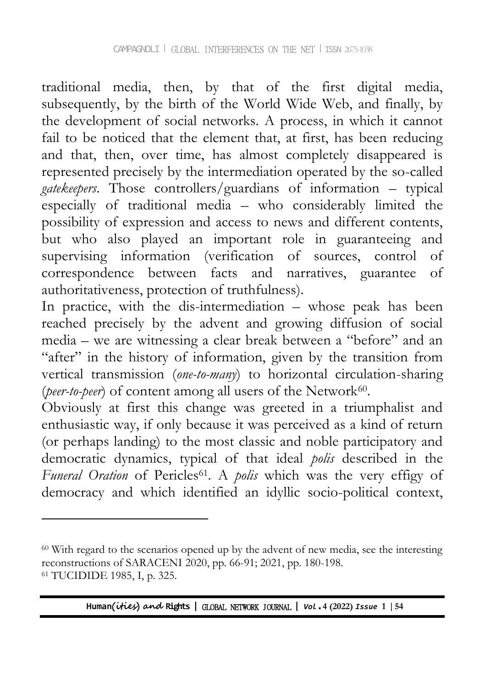traditional media, then, by that of the first digital media, subsequently, by the birth of the World Wide Web, and finally, by the development of social networks. A process, in which it cannot fail to be noticed that the element that, at first, has been reducing and that, then, over time, has almost completely disappeared is represented precisely by the intermediation operated by the so-called *gatekeepers*. Those controllers/guardians of information – typical especially of traditional media – who considerably limited the possibility of expression and access to news and different contents, but who also played an important role in guaranteeing and supervising information (verification of sources, control of correspondence between facts and narratives, guarantee of authoritativeness, protection of truthfulness).

In practice, with the dis-intermediation – whose peak has been reached precisely by the advent and growing diffusion of social media – we are witnessing a clear break between a "before" and an "after" in the history of information, given by the transition from vertical transmission (*one-to-many*) to horizontal circulation-sharing (peer-to-peer) of content among all users of the Network<sup>60</sup>.

Obviously at first this change was greeted in a triumphalist and enthusiastic way, if only because it was perceived as a kind of return (or perhaps landing) to the most classic and noble participatory and democratic dynamics, typical of that ideal *polis* described in the *Funeral Oration* of Pericles<sup>61</sup>. A *polis* which was the very effigy of democracy and which identified an idyllic socio-political context,

 $\overline{a}$ 

<sup>60</sup> With regard to the scenarios opened up by the advent of new media, see the interesting reconstructions of SARACENI 2020, pp. 66-91; 2021, pp. 180-198. <sup>61</sup> TUCIDIDE 1985, I, p. 325.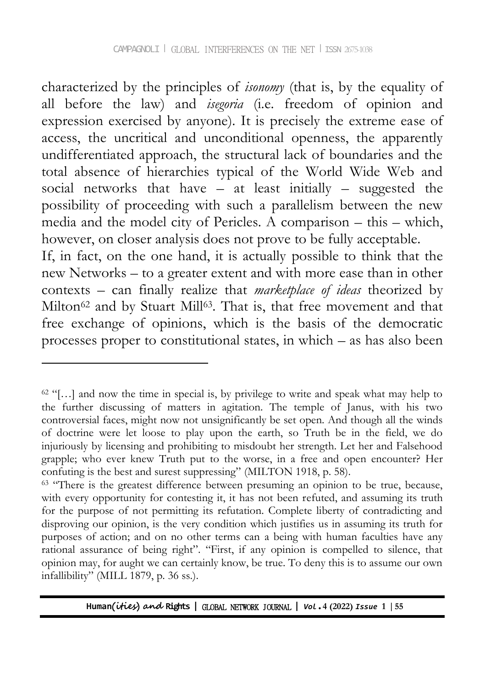characterized by the principles of *isonomy* (that is, by the equality of all before the law) and *isegoria* (i.e. freedom of opinion and expression exercised by anyone). It is precisely the extreme ease of access, the uncritical and unconditional openness, the apparently undifferentiated approach, the structural lack of boundaries and the total absence of hierarchies typical of the World Wide Web and social networks that have – at least initially – suggested the possibility of proceeding with such a parallelism between the new media and the model city of Pericles. A comparison – this – which, however, on closer analysis does not prove to be fully acceptable.

If, in fact, on the one hand, it is actually possible to think that the new Networks – to a greater extent and with more ease than in other contexts – can finally realize that *marketplace of ideas* theorized by Milton<sup>62</sup> and by Stuart Mill<sup>63</sup>. That is, that free movement and that free exchange of opinions, which is the basis of the democratic processes proper to constitutional states, in which – as has also been

 $62$  "[...] and now the time in special is, by privilege to write and speak what may help to the further discussing of matters in agitation. The temple of Janus, with his two controversial faces, might now not unsignificantly be set open. And though all the winds of doctrine were let loose to play upon the earth, so Truth be in the field, we do injuriously by licensing and prohibiting to misdoubt her strength. Let her and Falsehood grapple; who ever knew Truth put to the worse, in a free and open encounter? Her confuting is the best and surest suppressing" (MILTON 1918, p. 58).

<sup>&</sup>lt;sup>63</sup> "There is the greatest difference between presuming an opinion to be true, because, with every opportunity for contesting it, it has not been refuted, and assuming its truth for the purpose of not permitting its refutation. Complete liberty of contradicting and disproving our opinion, is the very condition which justifies us in assuming its truth for purposes of action; and on no other terms can a being with human faculties have any rational assurance of being right". "First, if any opinion is compelled to silence, that opinion may, for aught we can certainly know, be true. To deny this is to assume our own infallibility" (MILL 1879, p. 36 ss.).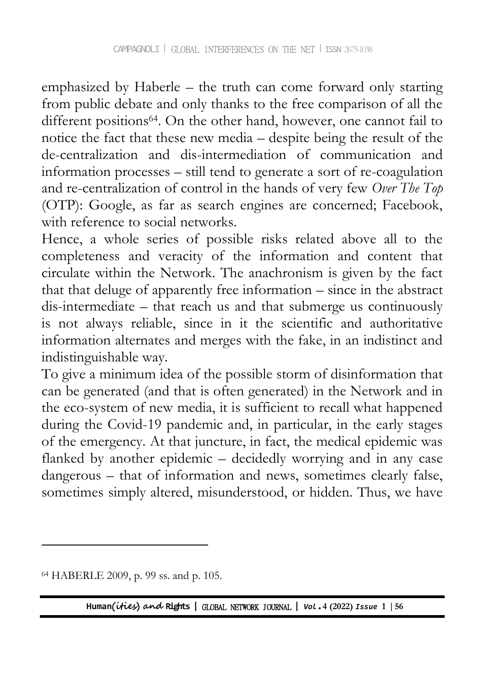emphasized by Haberle – the truth can come forward only starting from public debate and only thanks to the free comparison of all the different positions<sup>64</sup>. On the other hand, however, one cannot fail to notice the fact that these new media – despite being the result of the de-centralization and dis-intermediation of communication and information processes – still tend to generate a sort of re-coagulation and re-centralization of control in the hands of very few *Over The Top* (OTP): Google, as far as search engines are concerned; Facebook, with reference to social networks.

Hence, a whole series of possible risks related above all to the completeness and veracity of the information and content that circulate within the Network. The anachronism is given by the fact that that deluge of apparently free information – since in the abstract dis-intermediate – that reach us and that submerge us continuously is not always reliable, since in it the scientific and authoritative information alternates and merges with the fake, in an indistinct and indistinguishable way.

To give a minimum idea of the possible storm of disinformation that can be generated (and that is often generated) in the Network and in the eco-system of new media, it is sufficient to recall what happened during the Covid-19 pandemic and, in particular, in the early stages of the emergency. At that juncture, in fact, the medical epidemic was flanked by another epidemic – decidedly worrying and in any case dangerous – that of information and news, sometimes clearly false, sometimes simply altered, misunderstood, or hidden. Thus, we have

 $\overline{a}$ 

<sup>64</sup> HABERLE 2009, p. 99 ss. and p. 105.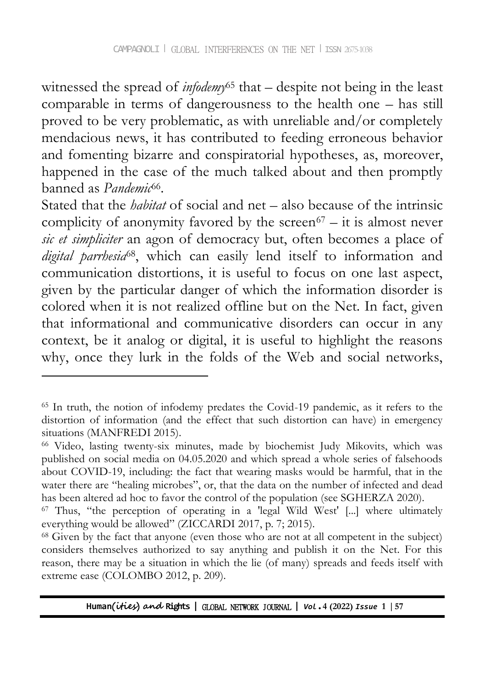witnessed the spread of *infodemy*<sup>65</sup> that – despite not being in the least comparable in terms of dangerousness to the health one – has still proved to be very problematic, as with unreliable and/or completely mendacious news, it has contributed to feeding erroneous behavior and fomenting bizarre and conspiratorial hypotheses, as, moreover, happened in the case of the much talked about and then promptly banned as *Pandemic*<sup>66</sup>.

Stated that the *habitat* of social and net – also because of the intrinsic complicity of anonymity favored by the screen $67 - it$  is almost never *sic et simpliciter* an agon of democracy but, often becomes a place of *digital parrhesia*68, which can easily lend itself to information and communication distortions, it is useful to focus on one last aspect, given by the particular danger of which the information disorder is colored when it is not realized offline but on the Net. In fact, given that informational and communicative disorders can occur in any context, be it analog or digital, it is useful to highlight the reasons why, once they lurk in the folds of the Web and social networks,

<sup>65</sup> In truth, the notion of infodemy predates the Covid-19 pandemic, as it refers to the distortion of information (and the effect that such distortion can have) in emergency situations (MANFREDI 2015).

<sup>66</sup> Video, lasting twenty-six minutes, made by biochemist Judy Mikovits, which was published on social media on 04.05.2020 and which spread a whole series of falsehoods about COVID-19, including: the fact that wearing masks would be harmful, that in the water there are "healing microbes", or, that the data on the number of infected and dead has been altered ad hoc to favor the control of the population (see SGHERZA 2020).

<sup>67</sup> Thus, "the perception of operating in a 'legal Wild West' [...] where ultimately everything would be allowed" (ZICCARDI 2017, p. 7; 2015).

<sup>68</sup> Given by the fact that anyone (even those who are not at all competent in the subject) considers themselves authorized to say anything and publish it on the Net. For this reason, there may be a situation in which the lie (of many) spreads and feeds itself with extreme ease (COLOMBO 2012, p. 209).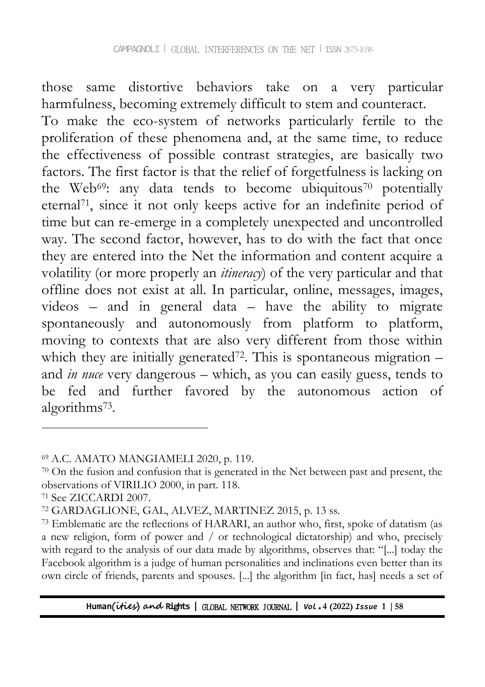those same distortive behaviors take on a very particular harmfulness, becoming extremely difficult to stem and counteract. To make the eco-system of networks particularly fertile to the proliferation of these phenomena and, at the same time, to reduce the effectiveness of possible contrast strategies, are basically two factors. The first factor is that the relief of forgetfulness is lacking on the Web<sup>69</sup>: any data tends to become ubiquitous<sup>70</sup> potentially eternal71, since it not only keeps active for an indefinite period of time but can re-emerge in a completely unexpected and uncontrolled way. The second factor, however, has to do with the fact that once they are entered into the Net the information and content acquire a volatility (or more properly an *itineracy*) of the very particular and that offline does not exist at all. In particular, online, messages, images, videos – and in general data – have the ability to migrate spontaneously and autonomously from platform to platform, moving to contexts that are also very different from those within which they are initially generated<sup>72</sup>. This is spontaneous migration  $$ and *in nuce* very dangerous – which, as you can easily guess, tends to be fed and further favored by the autonomous action of algorithms<sup>73</sup> .

<sup>69</sup> A.C. AMATO MANGIAMELI 2020, p. 119.

<sup>70</sup> On the fusion and confusion that is generated in the Net between past and present, the observations of VIRILIO 2000, in part. 118.

<sup>71</sup> See ZICCARDI 2007.

<sup>72</sup> GARDAGLIONE, GAL, ALVEZ, MARTINEZ 2015, p. 13 ss.

<sup>73</sup> Emblematic are the reflections of HARARI, an author who, first, spoke of datatism (as a new religion, form of power and / or technological dictatorship) and who, precisely with regard to the analysis of our data made by algorithms, observes that: "[...] today the Facebook algorithm is a judge of human personalities and inclinations even better than its own circle of friends, parents and spouses. [...] the algorithm [in fact, has] needs a set of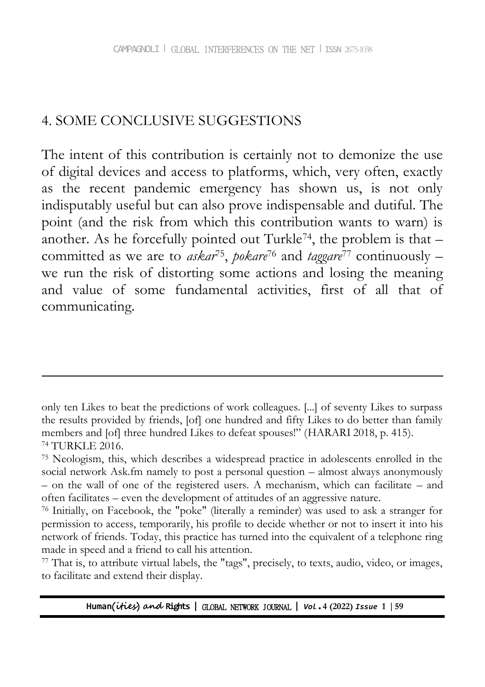### 4. SOME CONCLUSIVE SUGGESTIONS

-

The intent of this contribution is certainly not to demonize the use of digital devices and access to platforms, which, very often, exactly as the recent pandemic emergency has shown us, is not only indisputably useful but can also prove indispensable and dutiful. The point (and the risk from which this contribution wants to warn) is another. As he forcefully pointed out Turkle<sup>74</sup>, the problem is that  $$ committed as we are to *askar*<sup>75</sup> , *pokare*<sup>76</sup> and *taggare*<sup>77</sup> continuously – we run the risk of distorting some actions and losing the meaning and value of some fundamental activities, first of all that of communicating.

<sup>77</sup> That is, to attribute virtual labels, the "tags", precisely, to texts, audio, video, or images, to facilitate and extend their display.

only ten Likes to beat the predictions of work colleagues. [...] of seventy Likes to surpass the results provided by friends, [of] one hundred and fifty Likes to do better than family members and [of] three hundred Likes to defeat spouses!" (HARARI 2018, p. 415). <sup>74</sup> TURKLE 2016.

<sup>75</sup> Neologism, this, which describes a widespread practice in adolescents enrolled in the social network Ask.fm namely to post a personal question – almost always anonymously – on the wall of one of the registered users. A mechanism, which can facilitate – and often facilitates – even the development of attitudes of an aggressive nature.

<sup>76</sup> Initially, on Facebook, the "poke" (literally a reminder) was used to ask a stranger for permission to access, temporarily, his profile to decide whether or not to insert it into his network of friends. Today, this practice has turned into the equivalent of a telephone ring made in speed and a friend to call his attention.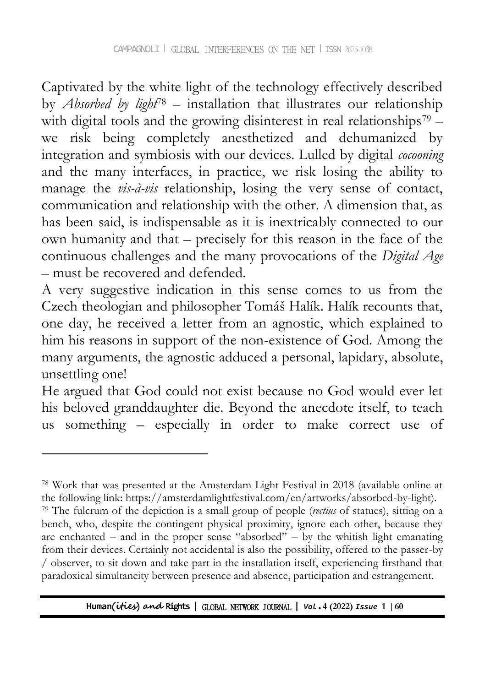Captivated by the white light of the technology effectively described by *Absorbed by light*<sup>78</sup> – installation that illustrates our relationship with digital tools and the growing disinterest in real relationships<sup>79</sup> we risk being completely anesthetized and dehumanized by integration and symbiosis with our devices. Lulled by digital *cocooning* and the many interfaces, in practice, we risk losing the ability to manage the *vis-à-vis* relationship, losing the very sense of contact, communication and relationship with the other. A dimension that, as has been said, is indispensable as it is inextricably connected to our own humanity and that – precisely for this reason in the face of the continuous challenges and the many provocations of the *Digital Age* – must be recovered and defended.

A very suggestive indication in this sense comes to us from the Czech theologian and philosopher Tomáš Halík. Halík recounts that, one day, he received a letter from an agnostic, which explained to him his reasons in support of the non-existence of God. Among the many arguments, the agnostic adduced a personal, lapidary, absolute, unsettling one!

He argued that God could not exist because no God would ever let his beloved granddaughter die. Beyond the anecdote itself, to teach us something – especially in order to make correct use of

<sup>78</sup> Work that was presented at the Amsterdam Light Festival in 2018 (available online at the following link: https://amsterdamlightfestival.com/en/artworks/absorbed-by-light).

<sup>79</sup> The fulcrum of the depiction is a small group of people (*rectius* of statues), sitting on a bench, who, despite the contingent physical proximity, ignore each other, because they are enchanted – and in the proper sense "absorbed" – by the whitish light emanating from their devices. Certainly not accidental is also the possibility, offered to the passer-by / observer, to sit down and take part in the installation itself, experiencing firsthand that paradoxical simultaneity between presence and absence, participation and estrangement.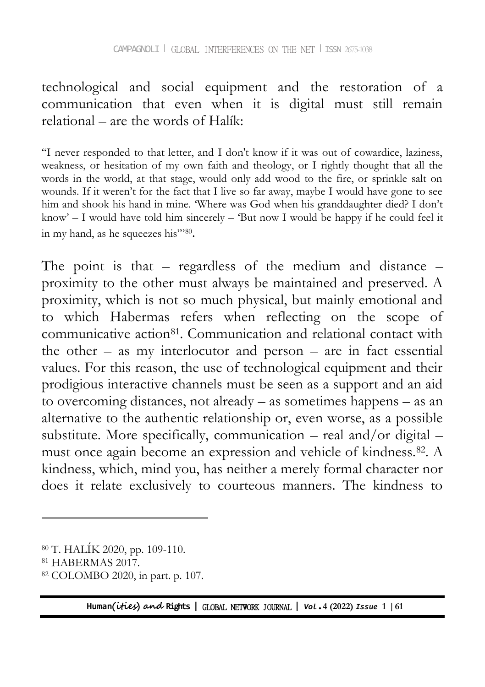### technological and social equipment and the restoration of a communication that even when it is digital must still remain relational – are the words of Halík:

"I never responded to that letter, and I don't know if it was out of cowardice, laziness, weakness, or hesitation of my own faith and theology, or I rightly thought that all the words in the world, at that stage, would only add wood to the fire, or sprinkle salt on wounds. If it weren't for the fact that I live so far away, maybe I would have gone to see him and shook his hand in mine. "Where was God when his granddaughter died? I don"t know'  $-1$  would have told him sincerely  $-$  'But now I would be happy if he could feel it in my hand, as he squeezes his"'80.

The point is that – regardless of the medium and distance – proximity to the other must always be maintained and preserved. A proximity, which is not so much physical, but mainly emotional and to which Habermas refers when reflecting on the scope of communicative action<sup>81</sup>. Communication and relational contact with the other – as my interlocutor and person – are in fact essential values. For this reason, the use of technological equipment and their prodigious interactive channels must be seen as a support and an aid to overcoming distances, not already – as sometimes happens – as an alternative to the authentic relationship or, even worse, as a possible substitute. More specifically, communication – real and/or digital – must once again become an expression and vehicle of kindness.82. A kindness, which, mind you, has neither a merely formal character nor does it relate exclusively to courteous manners. The kindness to

 $\overline{a}$ 

 $80$  T. HALIK 2020, pp. 109-110.

<sup>81</sup> HABERMAS 2017.

<sup>82</sup> COLOMBO 2020, in part. p. 107.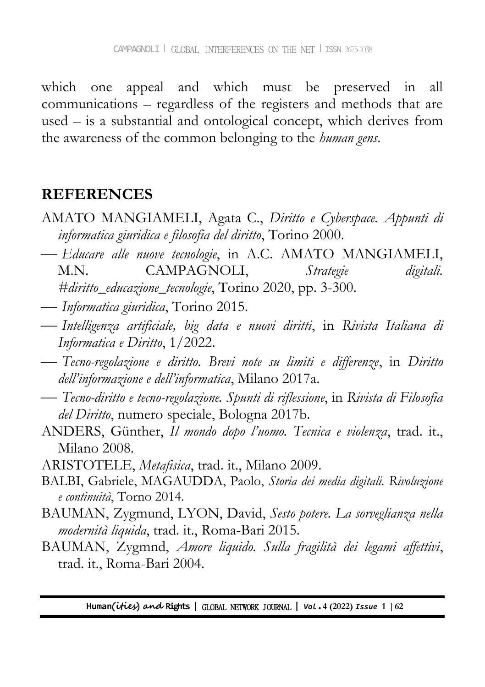which one appeal and which must be preserved in all communications – regardless of the registers and methods that are used – is a substantial and ontological concept, which derives from the awareness of the common belonging to the *human gens*.

## **REFERENCES**

- AMATO MANGIAMELI, Agata C., *Diritto e Cyberspace. Appunti di informatica giuridica e filosofia del diritto*, Torino 2000.
- *Educare alle nuove tecnologie*, in A.C. AMATO MANGIAMELI, M.N. CAMPAGNOLI, *Strategie digitali. #diritto\_educazione\_tecnologie*, Torino 2020, pp. 3-300.
- *Informatica giuridica*, Torino 2015.
- *Intelligenza artificiale, big data e nuovi diritti*, in *Rivista Italiana di Informatica e Diritto*, 1/2022.
- *Tecno-regolazione e diritto. Brevi note su limiti e differenze*, in *Diritto dell'informazione e dell'informatica*, Milano 2017a.
- *Tecno-diritto e tecno-regolazione. Spunti di riflessione*, in *Rivista di Filosofia del Diritto*, numero speciale, Bologna 2017b.
- ANDERS, Günther, *Il mondo dopo l'uomo. Tecnica e violenza*, trad. it., Milano 2008.
- ARISTOTELE, *Metafisica*, trad. it., Milano 2009.
- BALBI, Gabriele, MAGAUDDA, Paolo, *Storia dei media digitali. Rivoluzione e continuità*, Torno 2014.
- BAUMAN, Zygmund, LYON, David, *Sesto potere. La sorveglianza nella modernità liquida*, trad. it., Roma-Bari 2015.
- BAUMAN, Zygmnd, *Amore liquido. Sulla fragilità dei legami affettivi*, trad. it., Roma-Bari 2004.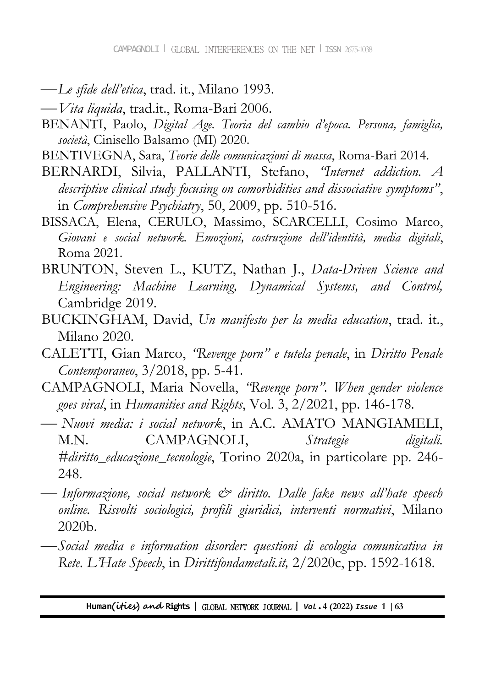- *Le sfide dell'etica*, trad. it., Milano 1993.
- *Vita liquida*, trad.it., Roma-Bari 2006.
- BENANTI, Paolo, *Digital Age. Teoria del cambio d'epoca. Persona, famiglia, società*, Cinisello Balsamo (MI) 2020.
- BENTIVEGNA, Sara, *Teorie delle comunicazioni di massa*, Roma-Bari 2014.
- BERNARDI, Silvia, PALLANTI, Stefano, *"Internet addiction. A descriptive clinical study focusing on comorbidities and dissociative symptoms"*, in *Comprehensive Psychiatry*, 50, 2009, pp. 510-516.
- BISSACA, Elena, CERULO, Massimo, SCARCELLI, Cosimo Marco, *Giovani e social network. Emozioni, costruzione dell'identità, media digitali*, Roma 2021.
- BRUNTON, Steven L., KUTZ, Nathan J., *Data-Driven Science and Engineering: Machine Learning, Dynamical Systems, and Control,* Cambridge 2019.
- BUCKINGHAM, David, *Un manifesto per la media education*, trad. it., Milano 2020.
- CALETTI, Gian Marco, *"Revenge porn" e tutela penale*, in *Diritto Penale Contemporaneo*, 3/2018, pp. 5-41.
- CAMPAGNOLI, Maria Novella, *"Revenge porn". When gender violence goes viral*, in *Humanities and Rights*, Vol. 3, 2/2021, pp. 146-178.
- *Nuovi media: i social network*, in A.C. AMATO MANGIAMELI, M.N. CAMPAGNOLI, *Strategie digitali. #diritto\_educazione\_tecnologie*, Torino 2020a, in particolare pp. 246- 248.
- *Informazione, social network & diritto. Dalle fake news all'hate speech online. Risvolti sociologici, profili giuridici, interventi normativi*, Milano 2020b.
- *Social media e information disorder: questioni di ecologia comunicativa in Rete*. *L'Hate Speech*, in *Dirittifondametali.it,* 2/2020c, pp. 1592-1618.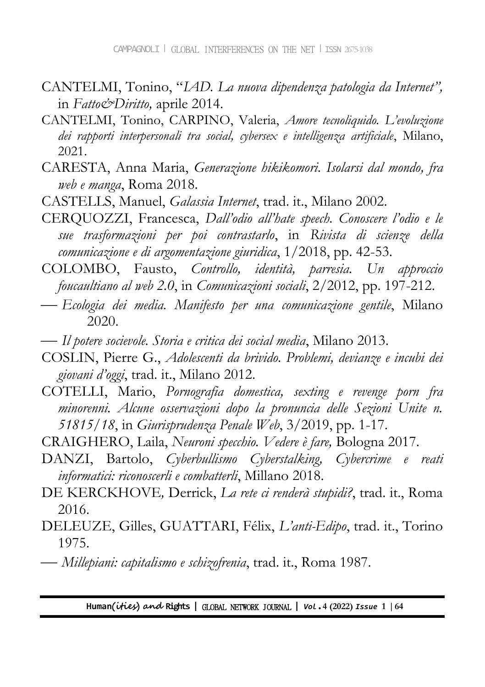- CANTELMI, Tonino, "*IAD. La nuova dipendenza patologia da Internet",* in *Fatto&Diritto,* aprile 2014.
- CANTELMI, Tonino, CARPINO, Valeria, *Amore tecnoliquido. L'evoluzione dei rapporti interpersonali tra social, cybersex e intelligenza artificiale*, Milano, 2021.
- CARESTA, Anna Maria, *Generazione hikikomori. Isolarsi dal mondo, fra web e manga*, Roma 2018.
- CASTELLS, Manuel, *Galassia Internet*, trad. it., Milano 2002.
- CERQUOZZI, Francesca, *Dall'odio all'hate speech. Conoscere l'odio e le sue trasformazioni per poi contrastarlo*, in *Rivista di scienze della comunicazione e di argomentazione giuridica*, 1/2018, pp. 42-53.
- COLOMBO, Fausto, *Controllo, identità, parresia. Un approccio foucaultiano al web 2.0*, in *Comunicazioni sociali*, 2/2012, pp. 197-212.
- *Ecologia dei media. Manifesto per una comunicazione gentile*, Milano 2020.
- *Il potere socievole. Storia e critica dei social media*, Milano 2013.
- COSLIN, Pierre G., *Adolescenti da brivido. Problemi, devianze e incubi dei giovani d'oggi*, trad. it., Milano 2012.
- COTELLI, Mario, *Pornografia domestica, sexting e revenge porn fra minorenni. Alcune osservazioni dopo la pronuncia delle Sezioni Unite n. 51815/18*, in *Giurisprudenza Penale Web*, 3/2019, pp. 1-17.
- CRAIGHERO, Laila, *Neuroni specchio. Vedere è fare,* Bologna 2017.
- DANZI, Bartolo, *Cyberbullismo Cyberstalking, Cybercrime e reati informatici: riconoscerli e combatterli*, Millano 2018.
- DE KERCKHOVE*,* Derrick, *La rete ci renderà stupidi?*, trad. it., Roma 2016.
- DELEUZE, Gilles, GUATTARI, Félix, *L'anti-Edipo*, trad. it., Torino 1975.
- *Millepiani: capitalismo e schizofrenia*, trad. it., Roma 1987.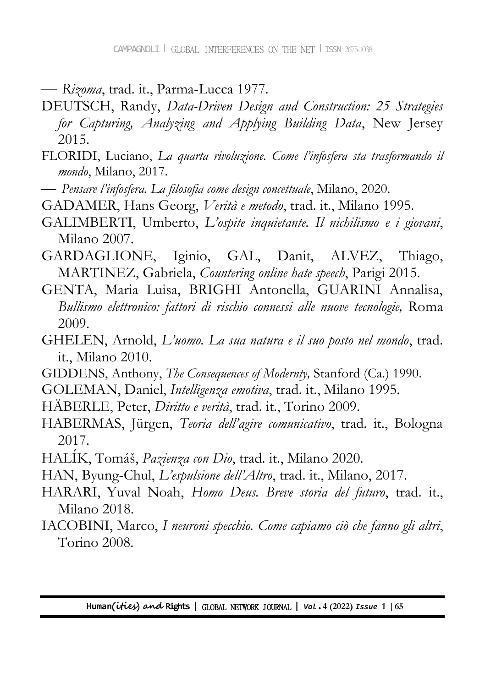*Rizoma*, trad. it., Parma-Lucca 1977.

- DEUTSCH, Randy, *Data-Driven Design and Construction: 25 Strategies for Capturing, Analyzing and Applying Building Data*, New Jersey 2015.
- FLORIDI, Luciano, *La quarta rivoluzione. Come l'infosfera sta trasformando il mondo*, Milano, 2017.
- *Pensare l'infosfera. La filosofia come design concettuale*, Milano, 2020.
- GADAMER, Hans Georg, *Verità e metodo*, trad. it., Milano 1995.
- GALIMBERTI, Umberto, *L'ospite inquietante. Il nichilismo e i giovani*, Milano 2007.
- GARDAGLIONE, Iginio, GAL, Danit, ALVEZ, Thiago, MARTINEZ, Gabriela, *Countering online hate speech*, Parigi 2015.
- GENTA, Maria Luisa, BRIGHI Antonella, GUARINI Annalisa, *Bullismo elettronico: fattori di rischio connessi alle nuove tecnologie,* Roma 2009.
- GHELEN, Arnold, *L'uomo. La sua natura e il suo posto nel mondo*, trad. it., Milano 2010.
- GIDDENS, Anthony, *The Consequences of Modernty,* Stanford (Ca.) 1990.
- GOLEMAN, Daniel, *Intelligenza emotiva*, trad. it., Milano 1995.
- HÄBERLE, Peter, *Diritto e verità*, trad. it., Torino 2009.
- HABERMAS, Jürgen, *Teoria dell'agire comunicativo*, trad. it., Bologna 2017.
- HALÍK, Tomáš, Pazienza con Dio, trad. it., Milano 2020.
- HAN, Byung-Chul, *L'espulsione dell'Altro*, trad. it., Milano, 2017.
- HARARI, Yuval Noah, *Homo Deus. Breve storia del futuro*, trad. it., Milano 2018.
- IACOBINI, Marco, *I neuroni specchio. Come capiamo ciò che fanno gli altri*, Torino 2008.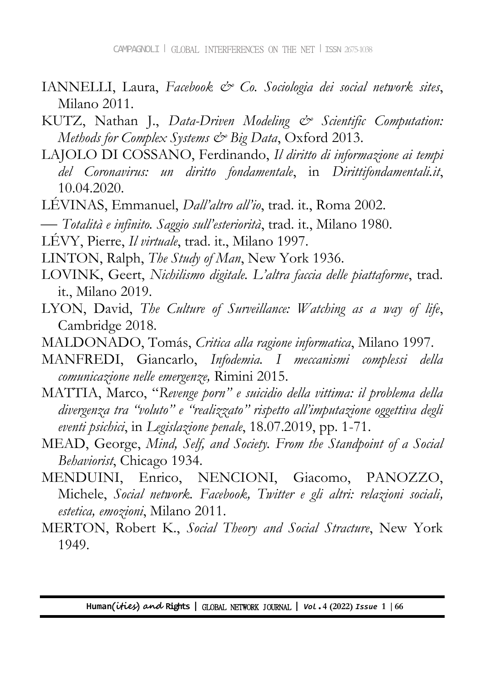- IANNELLI, Laura, *Facebook & Co. Sociologia dei social network sites*, Milano 2011.
- KUTZ, Nathan J., *Data-Driven Modeling & Scientific Computation: Methods for Complex Systems & Big Data*, Oxford 2013.
- LAJOLO DI COSSANO, Ferdinando, *Il diritto di informazione ai tempi del Coronavirus: un diritto fondamentale*, in *Dirittifondamentali.it*, 10.04.2020.
- LÉVINAS, Emmanuel, *Dall'altro all'io*, trad. it., Roma 2002.
- *Totalità e infinito. Saggio sull'esteriorità*, trad. it., Milano 1980.
- LÉVY, Pierre, *Il virtuale*, trad. it., Milano 1997.
- LINTON, Ralph, *The Study of Man*, New York 1936.
- LOVINK, Geert, *Nichilismo digitale. L'altra faccia delle piattaforme*, trad. it., Milano 2019.
- LYON, David, *The Culture of Surveillance: Watching as a way of life*, Cambridge 2018.
- MALDONADO, Tomás, *Critica alla ragione informatica*, Milano 1997.
- MANFREDI, Giancarlo, *Infodemia. I meccanismi complessi della comunicazione nelle emergenze,* Rimini 2015.
- MATTIA, Marco, "*Revenge porn" e suicidio della vittima: il problema della divergenza tra "voluto" e "realizzato" rispetto all'imputazione oggettiva degli eventi psichici*, in *Legislazione penale*, 18.07.2019, pp. 1-71.
- MEAD, George, *Mind, Self, and Society. From the Standpoint of a Social Behaviorist*, Chicago 1934.
- MENDUINI, Enrico, NENCIONI, Giacomo, PANOZZO, Michele, *Social network. Facebook, Twitter e gli altri: relazioni sociali, estetica, emozioni*, Milano 2011.
- MERTON, Robert K., *Social Theory and Social Stracture*, New York 1949.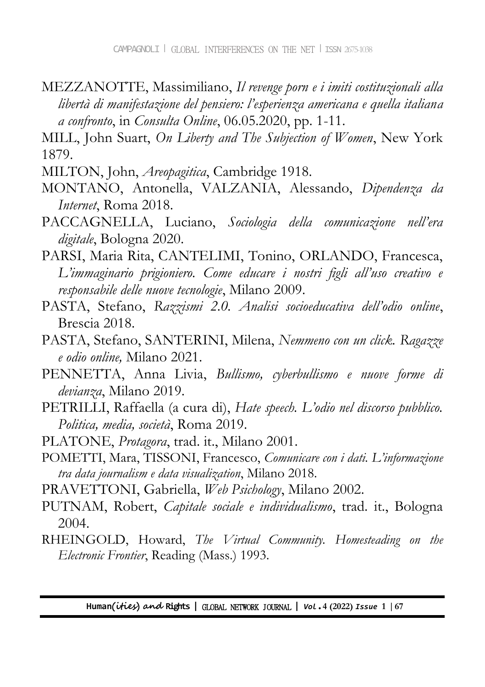- MEZZANOTTE, Massimiliano, *Il revenge porn e i imiti costituzionali alla libertà di manifestazione del pensiero: l'esperienza americana e quella italiana a confronto*, in *Consulta Online*, 06.05.2020, pp. 1-11.
- MILL, John Suart, *On Liberty and The Subjection of Women*, New York 1879.
- MILTON, John, *Areopagitica*, Cambridge 1918.
- MONTANO, Antonella, VALZANIA, Alessando, *Dipendenza da Internet*, Roma 2018.
- PACCAGNELLA, Luciano, *Sociologia della comunicazione nell'era digitale*, Bologna 2020.
- PARSI, Maria Rita, CANTELIMI, Tonino, ORLANDO, Francesca, *L'immaginario prigioniero. Come educare i nostri figli all'uso creativo e responsabile delle nuove tecnologie*, Milano 2009.
- PASTA, Stefano, *Razzismi 2.0. Analisi socioeducativa dell'odio online*, Brescia 2018.
- PASTA, Stefano, SANTERINI, Milena, *Nemmeno con un click. Ragazze e odio online,* Milano 2021.
- PENNETTA, Anna Livia, *Bullismo, cyberbullismo e nuove forme di devianza*, Milano 2019.
- PETRILLI, Raffaella (a cura di), *Hate speech. L'odio nel discorso pubblico. Politica, media, società*, Roma 2019.
- PLATONE, *Protagora*, trad. it., Milano 2001.
- POMETTI, Mara, TISSONI, Francesco, *Comunicare con i dati. L'informazione tra data journalism e data visualization*, Milano 2018.
- PRAVETTONI, Gabriella, *Web Psichology*, Milano 2002.
- PUTNAM, Robert, *Capitale sociale e individualismo*, trad. it., Bologna 2004.
- RHEINGOLD, Howard, *The Virtual Community. Homesteading on the Electronic Frontier*, Reading (Mass.) 1993.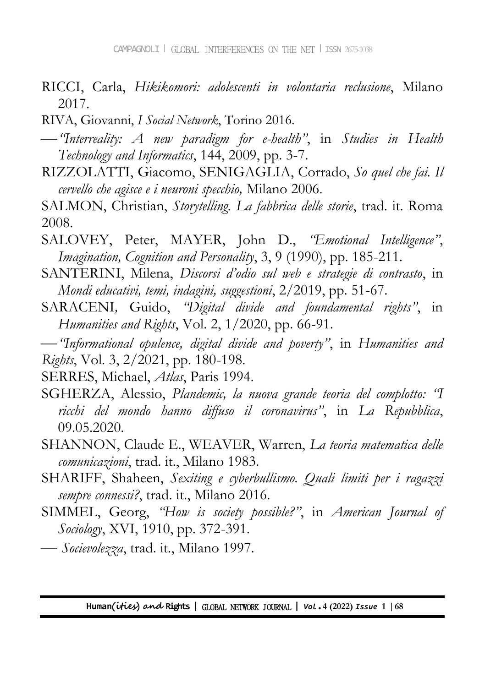- RICCI, Carla, *Hikikomori: adolescenti in volontaria reclusione*, Milano 2017.
- RIVA, Giovanni, *I Social Network*, Torino 2016.
- *"Interreality: A new paradigm for e-health"*, in *Studies in Health Technology and Informatics*, 144, 2009, pp. 3-7.
- RIZZOLATTI, Giacomo, SENIGAGLIA, Corrado, *So quel che fai. Il cervello che agisce e i neuroni specchio,* Milano 2006.
- SALMON, Christian, *Storytelling. La fabbrica delle storie*, trad. it. Roma 2008.
- SALOVEY, Peter, MAYER, John D., *"Emotional Intelligence"*, *Imagination, Cognition and Personality*, 3, 9 (1990), pp. 185-211.
- SANTERINI, Milena, *Discorsi d'odio sul web e strategie di contrasto*, in *Mondi educativi, temi, indagini, suggestioni*, 2/2019, pp. 51-67.
- SARACENI*,* Guido, *"Digital divide and foundamental rights"*, in *Humanities and Rights*, Vol. 2, 1/2020, pp. 66-91.

*"Informational opulence, digital divide and poverty"*, in *Humanities and Rights*, Vol. 3, 2/2021, pp. 180-198.

SERRES, Michael, *Atlas*, Paris 1994.

- SGHERZA, Alessio, *Plandemic, la nuova grande teoria del complotto: "I ricchi del mondo hanno diffuso il coronavirus"*, in *La Repubblica*, 09.05.2020.
- SHANNON, Claude E., WEAVER, Warren, *La teoria matematica delle comunicazioni*, trad. it., Milano 1983.
- SHARIFF, Shaheen, *Sexiting e cyberbullismo. Quali limiti per i ragazzi sempre connessi?*, trad. it., Milano 2016.
- SIMMEL, Georg, *"How is society possible?"*, in *American Journal of Sociology*, XVI, 1910, pp. 372-391.
- *Socievolezza*, trad. it., Milano 1997.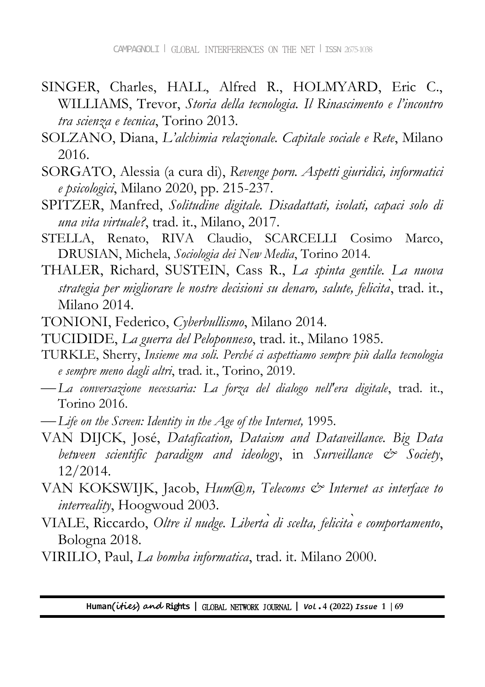- SINGER, Charles, HALL, Alfred R., HOLMYARD, Eric C., WILLIAMS, Trevor, *Storia della tecnologia. Il Rinascimento e l'incontro tra scienza e tecnica*, Torino 2013.
- SOLZANO, Diana, *L'alchimia relazionale. Capitale sociale e Rete*, Milano 2016.
- SORGATO, Alessia (a cura di), *Revenge porn. Aspetti giuridici, informatici e psicologici*, Milano 2020, pp. 215-237.
- SPITZER, Manfred, *Solitudine digitale. Disadattati, isolati, capaci solo di una vita virtuale?*, trad. it., Milano, 2017.
- STELLA, Renato, RIVA Claudio, SCARCELLI Cosimo Marco, DRUSIAN, Michela, *Sociologia dei New Media*, Torino 2014.
- THALER, Richard, SUSTEIN, Cass R., *La spinta gentile. La nuova strategia per migliorare le nostre decisioni su denaro, salute, felicità*, trad. it., Milano 2014.
- TONIONI, Federico, *Cyberbullismo*, Milano 2014.
- TUCIDIDE, *La guerra del Peloponneso*, trad. it., Milano 1985.
- TURKLE, Sherry, *Insieme ma soli. Perché ci aspettiamo sempre più dalla tecnologia e sempre meno dagli altri*, trad. it., Torino, 2019.
- *La conversazione necessaria: La forza del dialogo nell'era digitale*, trad. it., Torino 2016.
- *Life on the Screen: Identity in the Age of the Internet,* 1995.
- VAN DIJCK, José, *Datafication, Dataism and Dataveillance. Big Data between scientific paradigm and ideology*, in *Surveillance & Society*, 12/2014.
- VAN KOKSWIJK, Jacob, *Hum@n, Telecoms & Internet as interface to interreality*, Hoogwoud 2003.
- VIALE, Riccardo, *ltre il nudge. Liberta di scelta, felicita e comportamento*, Bologna 2018.
- VIRILIO, Paul, *La bomba informatica*, trad. it. Milano 2000.